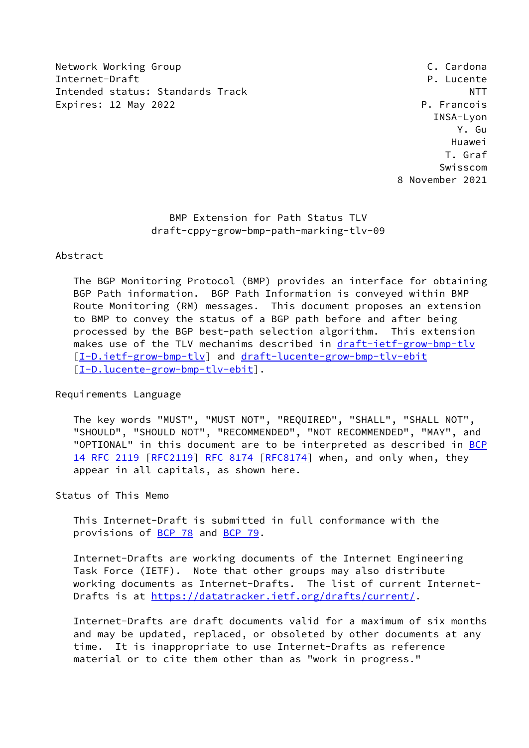Network Working Group **C. Cardona** Internet-Draft **P. Lucente** Intended status: Standards Track NTT Expires: 12 May 2022 **P. Francois** 

 INSA-Lyon Y. Gu Huawei T. Graf Swisscom 8 November 2021

## BMP Extension for Path Status TLV draft-cppy-grow-bmp-path-marking-tlv-09

### Abstract

 The BGP Monitoring Protocol (BMP) provides an interface for obtaining BGP Path information. BGP Path Information is conveyed within BMP Route Monitoring (RM) messages. This document proposes an extension to BMP to convey the status of a BGP path before and after being processed by the BGP best-path selection algorithm. This extension makes use of the TLV mechanims described in [draft-ietf-grow-bmp-tlv](https://datatracker.ietf.org/doc/pdf/draft-ietf-grow-bmp-tlv) [\[I-D.ietf-grow-bmp-tlv](#page-7-0)] and [draft-lucente-grow-bmp-tlv-ebit](https://datatracker.ietf.org/doc/pdf/draft-lucente-grow-bmp-tlv-ebit) [\[I-D.lucente-grow-bmp-tlv-ebit](#page-7-1)].

Requirements Language

 The key words "MUST", "MUST NOT", "REQUIRED", "SHALL", "SHALL NOT", "SHOULD", "SHOULD NOT", "RECOMMENDED", "NOT RECOMMENDED", "MAY", and "OPTIONAL" in this document are to be interpreted as described in [BCP](https://datatracker.ietf.org/doc/pdf/bcp14) [14](https://datatracker.ietf.org/doc/pdf/bcp14) [RFC 2119 \[RFC2119](https://datatracker.ietf.org/doc/pdf/rfc2119)] [RFC 8174](https://datatracker.ietf.org/doc/pdf/rfc8174) [\[RFC8174](https://datatracker.ietf.org/doc/pdf/rfc8174)] when, and only when, they appear in all capitals, as shown here.

### Status of This Memo

 This Internet-Draft is submitted in full conformance with the provisions of [BCP 78](https://datatracker.ietf.org/doc/pdf/bcp78) and [BCP 79](https://datatracker.ietf.org/doc/pdf/bcp79).

 Internet-Drafts are working documents of the Internet Engineering Task Force (IETF). Note that other groups may also distribute working documents as Internet-Drafts. The list of current Internet- Drafts is at<https://datatracker.ietf.org/drafts/current/>.

 Internet-Drafts are draft documents valid for a maximum of six months and may be updated, replaced, or obsoleted by other documents at any time. It is inappropriate to use Internet-Drafts as reference material or to cite them other than as "work in progress."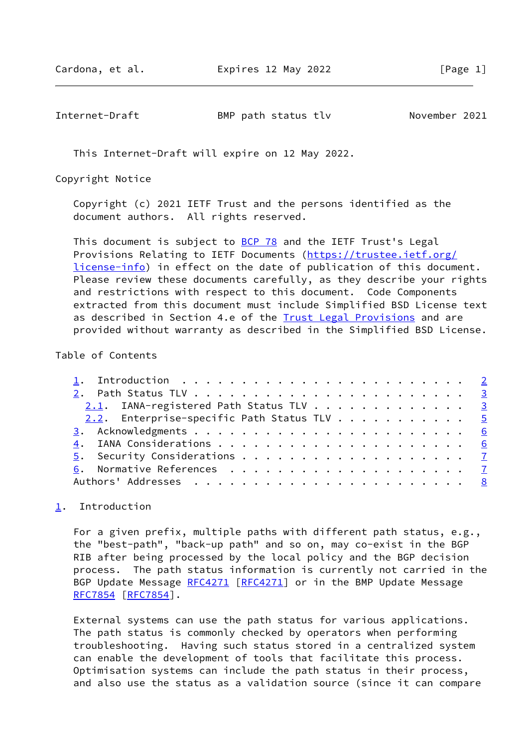<span id="page-1-1"></span>Internet-Draft BMP path status tlv November 2021

This Internet-Draft will expire on 12 May 2022.

Copyright Notice

 Copyright (c) 2021 IETF Trust and the persons identified as the document authors. All rights reserved.

This document is subject to **[BCP 78](https://datatracker.ietf.org/doc/pdf/bcp78)** and the IETF Trust's Legal Provisions Relating to IETF Documents ([https://trustee.ietf.org/](https://trustee.ietf.org/license-info) [license-info](https://trustee.ietf.org/license-info)) in effect on the date of publication of this document. Please review these documents carefully, as they describe your rights and restrictions with respect to this document. Code Components extracted from this document must include Simplified BSD License text as described in Section 4.e of the [Trust Legal Provisions](https://trustee.ietf.org/license-info) and are provided without warranty as described in the Simplified BSD License.

### Table of Contents

| 2.1. IANA-registered Path Status TLV 3     |  |  |  |  |  |  |  |
|--------------------------------------------|--|--|--|--|--|--|--|
| 2.2. Enterprise-specific Path Status TLV 5 |  |  |  |  |  |  |  |
|                                            |  |  |  |  |  |  |  |
|                                            |  |  |  |  |  |  |  |
|                                            |  |  |  |  |  |  |  |
|                                            |  |  |  |  |  |  |  |
|                                            |  |  |  |  |  |  |  |

# <span id="page-1-0"></span>[1](#page-1-0). Introduction

 For a given prefix, multiple paths with different path status, e.g., the "best-path", "back-up path" and so on, may co-exist in the BGP RIB after being processed by the local policy and the BGP decision process. The path status information is currently not carried in the BGP Update Message [RFC4271](https://datatracker.ietf.org/doc/pdf/rfc4271) [[RFC4271\]](https://datatracker.ietf.org/doc/pdf/rfc4271) or in the BMP Update Message [RFC7854](https://datatracker.ietf.org/doc/pdf/rfc7854) [\[RFC7854](https://datatracker.ietf.org/doc/pdf/rfc7854)].

 External systems can use the path status for various applications. The path status is commonly checked by operators when performing troubleshooting. Having such status stored in a centralized system can enable the development of tools that facilitate this process. Optimisation systems can include the path status in their process, and also use the status as a validation source (since it can compare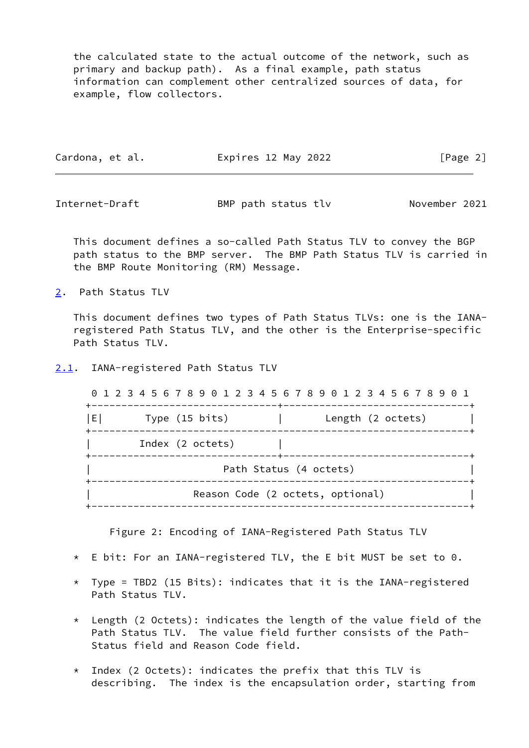the calculated state to the actual outcome of the network, such as primary and backup path). As a final example, path status information can complement other centralized sources of data, for example, flow collectors.

| Cardona, et al. | Expires 12 May 2022 | [Page 2] |
|-----------------|---------------------|----------|
|                 |                     |          |

<span id="page-2-1"></span>Internet-Draft BMP path status tlv November 2021

 This document defines a so-called Path Status TLV to convey the BGP path status to the BMP server. The BMP Path Status TLV is carried in the BMP Route Monitoring (RM) Message.

<span id="page-2-0"></span>[2](#page-2-0). Path Status TLV

 This document defines two types of Path Status TLVs: one is the IANA registered Path Status TLV, and the other is the Enterprise-specific Path Status TLV.

<span id="page-2-2"></span>[2.1](#page-2-2). IANA-registered Path Status TLV

 0 1 2 3 4 5 6 7 8 9 0 1 2 3 4 5 6 7 8 9 0 1 2 3 4 5 6 7 8 9 0 1 +-------------------------------+-------------------------------+ |E| Type (15 bits) | Length (2 octets) | +---------------------------------------------------------------+ | Index (2 octets) | +-------------------------------+-------------------------------+ Path Status (4 octets) +---------------------------------------------------------------+ Reason Code (2 octets, optional) +---------------------------------------------------------------+

Figure 2: Encoding of IANA-Registered Path Status TLV

- \* E bit: For an IANA-registered TLV, the E bit MUST be set to 0.
- \* Type = TBD2 (15 Bits): indicates that it is the IANA-registered Path Status TLV.
- $*$  Length (2 Octets): indicates the length of the value field of the Path Status TLV. The value field further consists of the Path- Status field and Reason Code field.
- \* Index (2 Octets): indicates the prefix that this TLV is describing. The index is the encapsulation order, starting from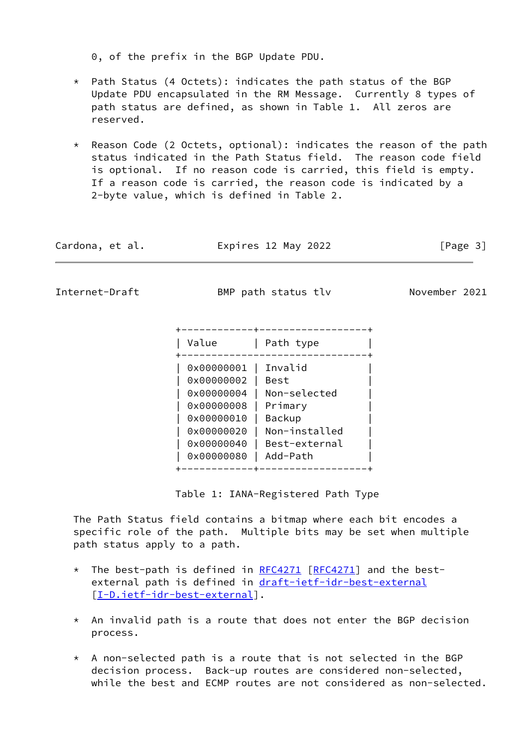0, of the prefix in the BGP Update PDU.

- $*$  Path Status (4 Octets): indicates the path status of the BGP Update PDU encapsulated in the RM Message. Currently 8 types of path status are defined, as shown in Table 1. All zeros are reserved.
- \* Reason Code (2 Octets, optional): indicates the reason of the path status indicated in the Path Status field. The reason code field is optional. If no reason code is carried, this field is empty. If a reason code is carried, the reason code is indicated by a 2-byte value, which is defined in Table 2.

| Cardona, et al. | Expires 12 May 2022                                      | [Page 3]      |
|-----------------|----------------------------------------------------------|---------------|
| Internet-Draft  | BMP path status tlv                                      | November 2021 |
|                 | +------------+-------------------+<br>Path type<br>Value |               |

+-------------------------------+

| 0x00000004 | Non-selected |

 | 0x00000020 | Non-installed | | 0x00000040 | Best-external |

 | 0x00000001 | Invalid | | 0x00000002 | Best |

 | 0x00000008 | Primary | | 0x00000010 | Backup |

| 0x00000080 | Add-Path |

Table 1: IANA-Registered Path Type

+------------+------------------+

 The Path Status field contains a bitmap where each bit encodes a specific role of the path. Multiple bits may be set when multiple path status apply to a path.

- \* The best-path is defined in [RFC4271](https://datatracker.ietf.org/doc/pdf/rfc4271) [\[RFC4271](https://datatracker.ietf.org/doc/pdf/rfc4271)] and the bestexternal path is defined in [draft-ietf-idr-best-external](https://datatracker.ietf.org/doc/pdf/draft-ietf-idr-best-external) [[I-D.ietf-idr-best-external\]](#page-7-4).
- $*$  An invalid path is a route that does not enter the BGP decision process.
- \* A non-selected path is a route that is not selected in the BGP decision process. Back-up routes are considered non-selected, while the best and ECMP routes are not considered as non-selected.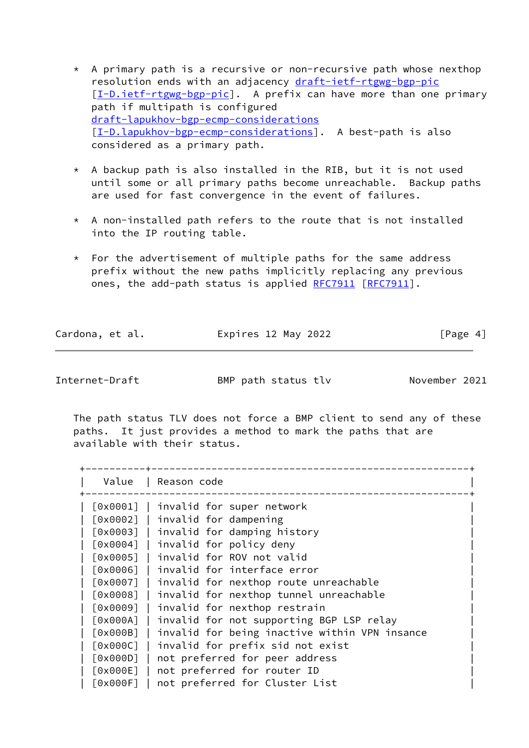- \* A primary path is a recursive or non-recursive path whose nexthop resolution ends with an adjacency [draft-ietf-rtgwg-bgp-pic](https://datatracker.ietf.org/doc/pdf/draft-ietf-rtgwg-bgp-pic) [[I-D.ietf-rtgwg-bgp-pic](#page-7-5)]. A prefix can have more than one primary path if multipath is configured [draft-lapukhov-bgp-ecmp-considerations](https://datatracker.ietf.org/doc/pdf/draft-lapukhov-bgp-ecmp-considerations) [[I-D.lapukhov-bgp-ecmp-considerations\]](#page-7-6). A best-path is also considered as a primary path.
- \* A backup path is also installed in the RIB, but it is not used until some or all primary paths become unreachable. Backup paths are used for fast convergence in the event of failures.
- \* A non-installed path refers to the route that is not installed into the IP routing table.
- $*$  For the advertisement of multiple paths for the same address prefix without the new paths implicitly replacing any previous ones, the add-path status is applied [RFC7911](https://datatracker.ietf.org/doc/pdf/rfc7911) [\[RFC7911](https://datatracker.ietf.org/doc/pdf/rfc7911)].

Cardona, et al. Expires 12 May 2022 [Page 4]

<span id="page-4-0"></span>Internet-Draft BMP path status tlv November 2021

 The path status TLV does not force a BMP client to send any of these paths. It just provides a method to mark the paths that are available with their status.

| Value    | Reason code                                   |
|----------|-----------------------------------------------|
| [0x0001] | invalid for super network                     |
|          | [0x0002]   invalid for dampening              |
| [0x0003] | invalid for damping history                   |
| [0x0004] | invalid for policy deny                       |
| [0x0005] | invalid for ROV not valid                     |
| [0x0006] | invalid for interface error                   |
| [0x0007] | invalid for nexthop route unreachable         |
| [0x0008] | invalid for nexthop tunnel unreachable        |
| [0x0009] | invalid for nexthop restrain                  |
| [0x000A] | invalid for not supporting BGP LSP relay      |
| [0x000B] | invalid for being inactive within VPN insance |
| [0x000C] | invalid for prefix sid not exist              |
| [0x000D] | not preferred for peer address                |
| [0x000E] | not preferred for router ID                   |
| [0x000F] | not preferred for Cluster List                |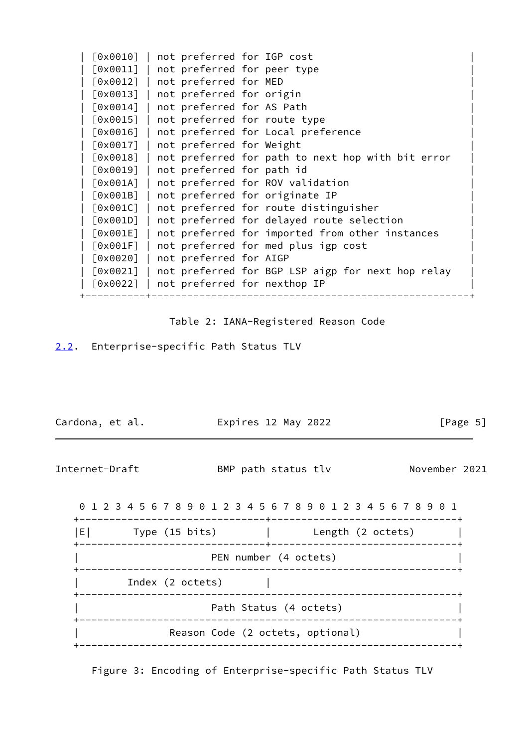| [0x0010]                      | not preferred for IGP cost              |                                                   |
|-------------------------------|-----------------------------------------|---------------------------------------------------|
| $\lceil 0 \times 0011 \rceil$ | not preferred for peer type             |                                                   |
| $[0 \times 0012]$             | not preferred for MED                   |                                                   |
| [0x0013]                      | not preferred for origin                |                                                   |
| $\lceil 0 \times 0014 \rceil$ | not preferred for AS Path               |                                                   |
| $\lceil 0 \times 0015 \rceil$ | not preferred for route type            |                                                   |
| [0x0016]                      |                                         | not preferred for Local preference                |
| [0x0017]                      | not preferred for Weight                |                                                   |
| $\lceil 0 \times 0018 \rceil$ |                                         | not preferred for path to next hop with bit error |
| [0x0019]                      | not preferred for path id               |                                                   |
| [0x001A]                      |                                         | not preferred for ROV validation                  |
| [0x001B]                      | not preferred for originate IP          |                                                   |
| [0x001C]                      |                                         | not preferred for route distinguisher             |
| [0x001D]                      |                                         | not preferred for delayed route selection         |
| [0x001E]                      |                                         | not preferred for imported from other instances   |
| [0x001F]                      |                                         | not preferred for med plus igp cost               |
| $\lceil 0 \times 0020 \rceil$ | not preferred for AIGP                  |                                                   |
| $\lceil 0 \times 0021 \rceil$ |                                         | not preferred for BGP LSP aigp for next hop relay |
|                               | [0x0022]   not preferred for nexthop IP |                                                   |
|                               |                                         |                                                   |

Table 2: IANA-Registered Reason Code

<span id="page-5-0"></span>[2.2](#page-5-0). Enterprise-specific Path Status TLV

<span id="page-5-1"></span>

| Cardona, et al.                                                 |                  |                                  |  |  |  | Expires 12 May 2022             |  |  |  |  | [Page 5]      |  |
|-----------------------------------------------------------------|------------------|----------------------------------|--|--|--|---------------------------------|--|--|--|--|---------------|--|
| Internet-Draft                                                  |                  |                                  |  |  |  | BMP path status tlv             |  |  |  |  | November 2021 |  |
| 0 1 2 3 4 5 6 7 8 9 0 1 2 3 4 5 6 7 8 9 0 1 2 3 4 5 6 7 8 9 0 1 |                  |                                  |  |  |  |                                 |  |  |  |  |               |  |
| E  Type (15 bits)   Length (2 octets)                           |                  |                                  |  |  |  |                                 |  |  |  |  |               |  |
|                                                                 |                  |                                  |  |  |  | PEN number (4 octets)           |  |  |  |  |               |  |
|                                                                 | Index (2 octets) |                                  |  |  |  |                                 |  |  |  |  |               |  |
|                                                                 |                  |                                  |  |  |  | Path Status (4 octets)          |  |  |  |  |               |  |
|                                                                 |                  | Reason Code (2 octets, optional) |  |  |  | . _ _ _ _ _ _ _ _ _ _ _ _ _ _ _ |  |  |  |  |               |  |
|                                                                 |                  |                                  |  |  |  |                                 |  |  |  |  |               |  |

Figure 3: Encoding of Enterprise-specific Path Status TLV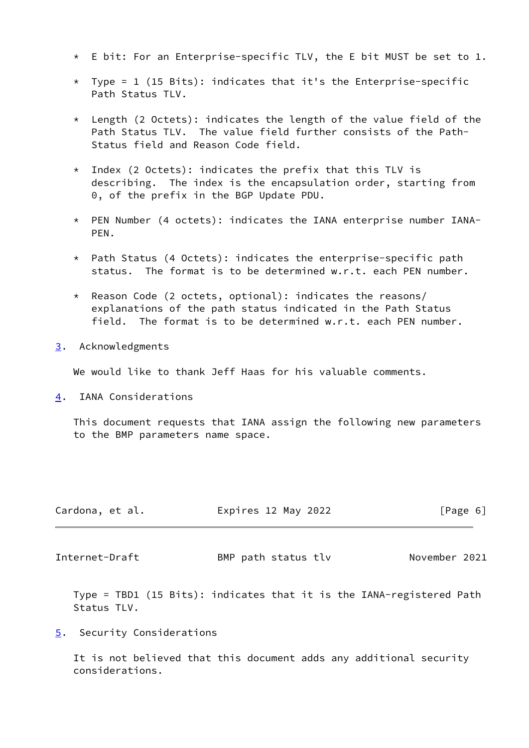- \* E bit: For an Enterprise-specific TLV, the E bit MUST be set to 1.
- \* Type = 1 (15 Bits): indicates that it's the Enterprise-specific Path Status TLV.
- \* Length (2 Octets): indicates the length of the value field of the Path Status TLV. The value field further consists of the Path- Status field and Reason Code field.
- \* Index (2 Octets): indicates the prefix that this TLV is describing. The index is the encapsulation order, starting from 0, of the prefix in the BGP Update PDU.
- \* PEN Number (4 octets): indicates the IANA enterprise number IANA- PEN.
- \* Path Status (4 Octets): indicates the enterprise-specific path status. The format is to be determined w.r.t. each PEN number.
- \* Reason Code (2 octets, optional): indicates the reasons/ explanations of the path status indicated in the Path Status field. The format is to be determined w.r.t. each PEN number.
- <span id="page-6-0"></span>[3](#page-6-0). Acknowledgments

We would like to thank Jeff Haas for his valuable comments.

<span id="page-6-1"></span>[4](#page-6-1). IANA Considerations

 This document requests that IANA assign the following new parameters to the BMP parameters name space.

| Cardona, et al. | Expires 12 May 2022 |  | [Page 6] |
|-----------------|---------------------|--|----------|
|                 |                     |  |          |

<span id="page-6-3"></span>Internet-Draft BMP path status tlv November 2021

 Type = TBD1 (15 Bits): indicates that it is the IANA-registered Path Status TLV.

<span id="page-6-2"></span>[5](#page-6-2). Security Considerations

 It is not believed that this document adds any additional security considerations.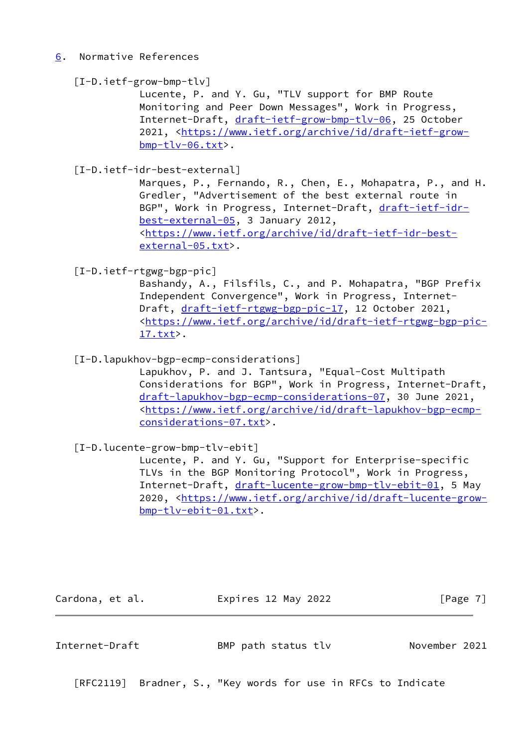## <span id="page-7-2"></span>[6](#page-7-2). Normative References

### <span id="page-7-0"></span>[I-D.ietf-grow-bmp-tlv]

 Lucente, P. and Y. Gu, "TLV support for BMP Route Monitoring and Peer Down Messages", Work in Progress, Internet-Draft, [draft-ietf-grow-bmp-tlv-06,](https://datatracker.ietf.org/doc/pdf/draft-ietf-grow-bmp-tlv-06) 25 October 2021, [<https://www.ietf.org/archive/id/draft-ietf-grow](https://www.ietf.org/archive/id/draft-ietf-grow-bmp-tlv-06.txt) [bmp-tlv-06.txt](https://www.ietf.org/archive/id/draft-ietf-grow-bmp-tlv-06.txt)>.

# <span id="page-7-4"></span>[I-D.ietf-idr-best-external]

 Marques, P., Fernando, R., Chen, E., Mohapatra, P., and H. Gredler, "Advertisement of the best external route in BGP", Work in Progress, Internet-Draft, [draft-ietf-idr](https://datatracker.ietf.org/doc/pdf/draft-ietf-idr-best-external-05) [best-external-05,](https://datatracker.ietf.org/doc/pdf/draft-ietf-idr-best-external-05) 3 January 2012, <[https://www.ietf.org/archive/id/draft-ietf-idr-best](https://www.ietf.org/archive/id/draft-ietf-idr-best-external-05.txt) [external-05.txt](https://www.ietf.org/archive/id/draft-ietf-idr-best-external-05.txt)>.

<span id="page-7-5"></span>[I-D.ietf-rtgwg-bgp-pic]

 Bashandy, A., Filsfils, C., and P. Mohapatra, "BGP Prefix Independent Convergence", Work in Progress, Internet Draft, [draft-ietf-rtgwg-bgp-pic-17](https://datatracker.ietf.org/doc/pdf/draft-ietf-rtgwg-bgp-pic-17), 12 October 2021, <[https://www.ietf.org/archive/id/draft-ietf-rtgwg-bgp-pic-](https://www.ietf.org/archive/id/draft-ietf-rtgwg-bgp-pic-17.txt) [17.txt](https://www.ietf.org/archive/id/draft-ietf-rtgwg-bgp-pic-17.txt)>.

<span id="page-7-6"></span>[I-D.lapukhov-bgp-ecmp-considerations]

 Lapukhov, P. and J. Tantsura, "Equal-Cost Multipath Considerations for BGP", Work in Progress, Internet-Draft, [draft-lapukhov-bgp-ecmp-considerations-07,](https://datatracker.ietf.org/doc/pdf/draft-lapukhov-bgp-ecmp-considerations-07) 30 June 2021, <[https://www.ietf.org/archive/id/draft-lapukhov-bgp-ecmp](https://www.ietf.org/archive/id/draft-lapukhov-bgp-ecmp-considerations-07.txt) [considerations-07.txt>](https://www.ietf.org/archive/id/draft-lapukhov-bgp-ecmp-considerations-07.txt).

<span id="page-7-1"></span>[I-D.lucente-grow-bmp-tlv-ebit]

 Lucente, P. and Y. Gu, "Support for Enterprise-specific TLVs in the BGP Monitoring Protocol", Work in Progress, Internet-Draft, [draft-lucente-grow-bmp-tlv-ebit-01,](https://datatracker.ietf.org/doc/pdf/draft-lucente-grow-bmp-tlv-ebit-01) 5 May 2020, [<https://www.ietf.org/archive/id/draft-lucente-grow](https://www.ietf.org/archive/id/draft-lucente-grow-bmp-tlv-ebit-01.txt) [bmp-tlv-ebit-01.txt](https://www.ietf.org/archive/id/draft-lucente-grow-bmp-tlv-ebit-01.txt)>.

Cardona, et al. **Expires 12 May 2022** [Page 7]

<span id="page-7-3"></span>Internet-Draft BMP path status tlv November 2021

[RFC2119] Bradner, S., "Key words for use in RFCs to Indicate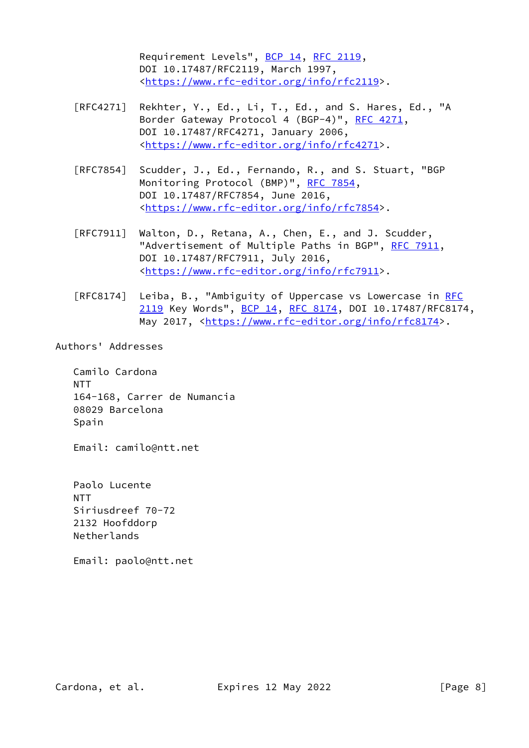Requirement Levels", [BCP 14](https://datatracker.ietf.org/doc/pdf/bcp14), [RFC 2119](https://datatracker.ietf.org/doc/pdf/rfc2119), DOI 10.17487/RFC2119, March 1997, <[https://www.rfc-editor.org/info/rfc2119>](https://www.rfc-editor.org/info/rfc2119).

- [RFC4271] Rekhter, Y., Ed., Li, T., Ed., and S. Hares, Ed., "A Border Gateway Protocol 4 (BGP-4)", [RFC 4271,](https://datatracker.ietf.org/doc/pdf/rfc4271) DOI 10.17487/RFC4271, January 2006, <[https://www.rfc-editor.org/info/rfc4271>](https://www.rfc-editor.org/info/rfc4271).
- [RFC7854] Scudder, J., Ed., Fernando, R., and S. Stuart, "BGP Monitoring Protocol (BMP)", [RFC 7854,](https://datatracker.ietf.org/doc/pdf/rfc7854) DOI 10.17487/RFC7854, June 2016, <[https://www.rfc-editor.org/info/rfc7854>](https://www.rfc-editor.org/info/rfc7854).
- [RFC7911] Walton, D., Retana, A., Chen, E., and J. Scudder, "Advertisement of Multiple Paths in BGP", [RFC 7911](https://datatracker.ietf.org/doc/pdf/rfc7911), DOI 10.17487/RFC7911, July 2016, <[https://www.rfc-editor.org/info/rfc7911>](https://www.rfc-editor.org/info/rfc7911).
- [RFC8174] Leiba, B., "Ambiguity of Uppercase vs Lowercase in [RFC](https://datatracker.ietf.org/doc/pdf/rfc2119) [2119](https://datatracker.ietf.org/doc/pdf/rfc2119) Key Words", [BCP 14](https://datatracker.ietf.org/doc/pdf/bcp14), [RFC 8174,](https://datatracker.ietf.org/doc/pdf/rfc8174) DOI 10.17487/RFC8174, May 2017, [<https://www.rfc-editor.org/info/rfc8174](https://www.rfc-editor.org/info/rfc8174)>.

#### Authors' Addresses

 Camilo Cardona NTT 164-168, Carrer de Numancia 08029 Barcelona Spain

Email: camilo@ntt.net

 Paolo Lucente NTT Siriusdreef 70-72 2132 Hoofddorp Netherlands

Email: paolo@ntt.net